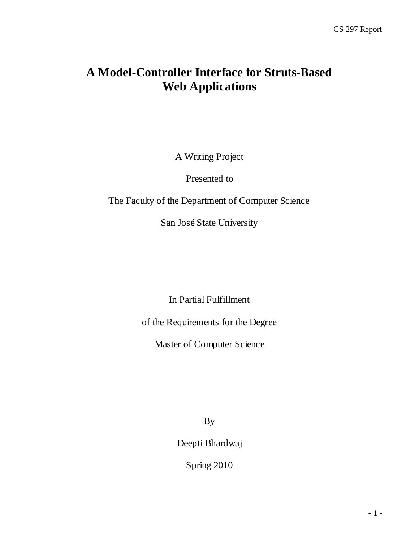## **A Model-Controller Interface for Struts-Based Web Applications**

A Writing Project

Presented to

The Faculty of the Department of Computer Science

San José State University

In Partial Fulfillment

of the Requirements for the Degree

Master of Computer Science

By

Deepti Bhardwaj

Spring 2010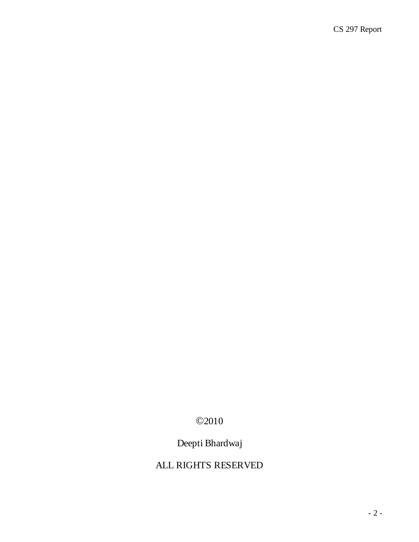## ©2010

## Deepti Bhardwaj

## ALL RIGHTS RESERVED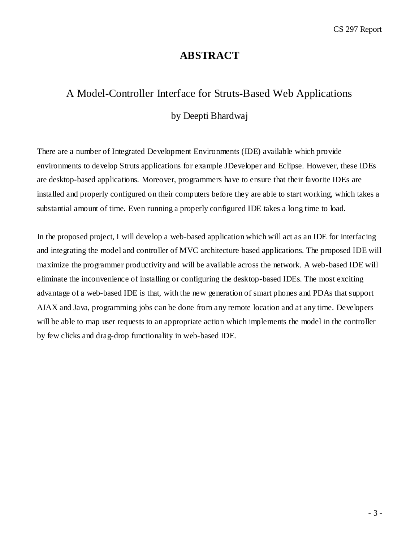## **ABSTRACT**

# A Model-Controller Interface for Struts-Based Web Applications by Deepti Bhardwaj

There are a number of Integrated Development Environments (IDE) available which provide environments to develop Struts applications for example JDeveloper and Eclipse. However, these IDEs are desktop-based applications. Moreover, programmers have to ensure that their favorite IDEs are installed and properly configured on their computers before they are able to start working, which takes a substantial amount of time. Even running a properly configured IDE takes a long time to load.

In the proposed project, I will develop a web-based application which will act as an IDE for interfacing and integrating the model and controller of MVC architecture based applications. The proposed IDE will maximize the programmer productivity and will be available across the network. A web-based IDE will eliminate the inconvenience of installing or configuring the desktop-based IDEs. The most exciting advantage of a web-based IDE is that, with the new generation of smart phones and PDAs that support AJAX and Java, programming jobs can be done from any remote location and at any time. Developers will be able to map user requests to an appropriate action which implements the model in the controller by few clicks and drag-drop functionality in web-based IDE.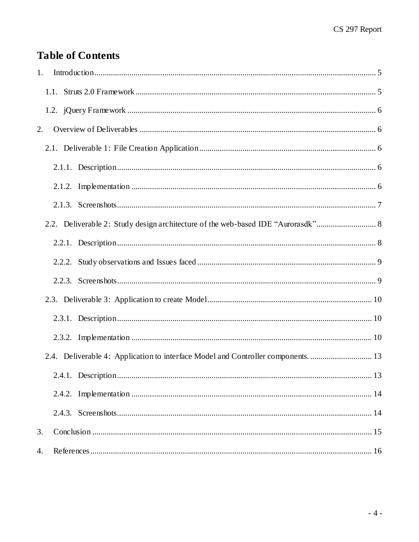## **Table of Contents**

| 1. |  |                                                                                   |  |
|----|--|-----------------------------------------------------------------------------------|--|
|    |  |                                                                                   |  |
|    |  |                                                                                   |  |
| 2. |  |                                                                                   |  |
|    |  |                                                                                   |  |
|    |  |                                                                                   |  |
|    |  |                                                                                   |  |
|    |  |                                                                                   |  |
|    |  | 2.2. Deliverable 2: Study design architecture of the web-based IDE "Aurorasdk" 8  |  |
|    |  |                                                                                   |  |
|    |  |                                                                                   |  |
|    |  |                                                                                   |  |
|    |  |                                                                                   |  |
|    |  |                                                                                   |  |
|    |  |                                                                                   |  |
|    |  | 2.4. Deliverable 4: Application to interface Model and Controller components.  13 |  |
|    |  |                                                                                   |  |
|    |  |                                                                                   |  |
|    |  |                                                                                   |  |
| 3. |  |                                                                                   |  |
| 4. |  |                                                                                   |  |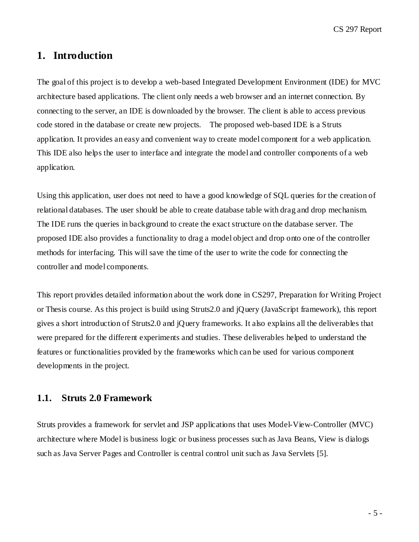CS 297 Report

## <span id="page-4-0"></span>**1. Introduction**

The goal of this project is to develop a web-based Integrated Development Environment (IDE) for MVC architecture based applications. The client only needs a web browser and an internet connection. By connecting to the server, an IDE is downloaded by the browser. The client is able to access previous code stored in the database or create new projects. The proposed web-based IDE is a Struts application. It provides an easy and convenient way to create model component for a web application. This IDE also helps the user to interface and integrate the model and controller components of a web application.

Using this application, user does not need to have a good knowledge of SQL queries for the creation of relational databases. The user should be able to create database table with drag and drop mechanism. The IDE runs the queries in background to create the exact structure on the database server. The proposed IDE also provides a functionality to drag a model object and drop onto one of the controller methods for interfacing. This will save the time of the user to write the code for connecting the controller and model components.

This report provides detailed information about the work done in CS297, Preparation for Writing Project or Thesis course. As this project is build using Struts2.0 and jQuery (JavaScript framework), this report gives a short introduction of Struts2.0 and jQuery frameworks. It also explains all the deliverables that were prepared for the different experiments and studies. These deliverables helped to understand the features or functionalities provided by the frameworks which can be used for various component developments in the project.

### <span id="page-4-1"></span>**1.1. Struts 2.0 Framework**

Struts provides a framework for servlet and JSP applications that uses Model-View-Controller (MVC) architecture where Model is business logic or business processes such as Java Beans, View is dialogs such as Java Server Pages and Controller is central control unit such as Java Servlets [5].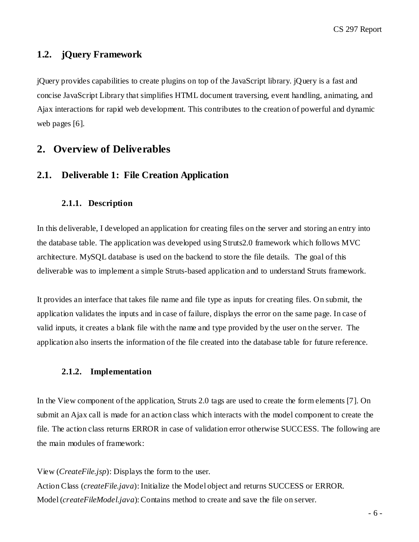### <span id="page-5-0"></span>**1.2. jQuery Framework**

jQuery provides capabilities to create [plugins](http://en.wikipedia.org/wiki/Plugin) on top of the JavaScript library. jQuery is a fast and concise JavaScript Library that simplifies HTML document traversing, event handling, animating, and Ajax interactions for rapid web development. This contributes to the creation of powerful and dynamic web pages [6].

## <span id="page-5-1"></span>**2. Overview of Deliverables**

### <span id="page-5-2"></span>**2.1. Deliverable 1: File Creation Application**

#### <span id="page-5-3"></span>**2.1.1. Description**

In this deliverable, I developed an application for creating files on the server and storing an entry into the database table. The application was developed using Struts2.0 framework which follows MVC architecture. MySQL database is used on the backend to store the file details. The goal of this deliverable was to implement a simple Struts-based application and to understand Struts framework.

It provides an interface that takes file name and file type as inputs for creating files. On submit, the application validates the inputs and in case of failure, displays the error on the same page. In case of valid inputs, it creates a blank file with the name and type provided by the user on the server. The application also inserts the information of the file created into the database table for future reference.

#### <span id="page-5-4"></span>**2.1.2. Implementation**

In the View component of the application, Struts 2.0 tags are used to create the form elements [7]. On submit an Ajax call is made for an action class which interacts with the model component to create the file. The action class returns ERROR in case of validation error otherwise SUCCESS. The following are the main modules of framework:

View (*CreateFile.jsp*): Displays the form to the user. Action Class (*createFile.java*): Initialize the Model object and returns SUCCESS or ERROR. Model (*createFileModel.java*): Contains method to create and save the file on server.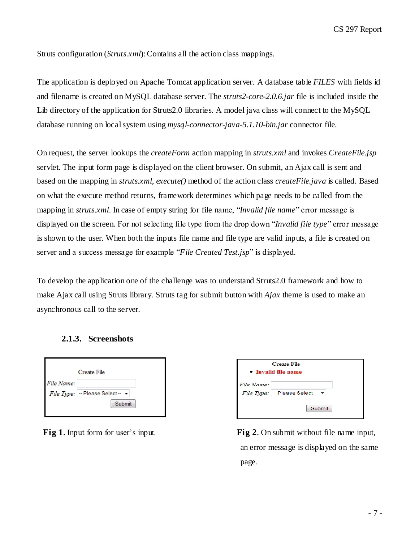Struts configuration (*Struts.xml*): Contains all the action class mappings.

The application is deployed on Apache Tomcat application server. A database table *FILES* with fields id and filename is created on MySQL database server. The *struts2-core-2.0.6.jar* file is included inside the Lib directory of the application for Struts2.0 libraries. A model java class will connect to the MySQL database running on local system using *mysql-connector-java-5.1.10-bin.jar* connector file.

On request, the server lookups the *createForm* action mapping in *struts.xml* and invokes *CreateFile.jsp* servlet. The input form page is displayed on the client browser. On submit, an Ajax call is sent and based on the mapping in *struts.xml*, *execute()* method of the action class *createFile.java* is called. Based on what the execute method returns, framework determines which page needs to be called from the mapping in *struts.xml*. In case of empty string for file name, "*Invalid file name*" error message is displayed on the screen. For not selecting file type from the drop down "*Invalid file type*" error message is shown to the user. When both the inputs file name and file type are valid inputs, a file is created on server and a success message for example "*File Created Test.jsp*" is displayed.

To develop the application one of the challenge was to understand Struts2.0 framework and how to make Ajax call using Struts library. Struts tag for submit button with *Ajax* theme is used to make an asynchronous call to the server.

<span id="page-6-0"></span>

|            | <b>Create File</b> |  |
|------------|--------------------|--|
| File Name: |                    |  |

File Type:  $-$  Please Select -  $\rightarrow$ 

#### **2.1.3. Screenshots**



Submit

| <b>Create File</b><br>• Invalid file name |                                               |  |
|-------------------------------------------|-----------------------------------------------|--|
| File Name:                                | File Type: $ -$ Please Select - $\rightarrow$ |  |
|                                           | Submit                                        |  |

**Fig 1**. Input form for user's input. **Fig 2**. On submit without file name input, an error message is displayed on the same page.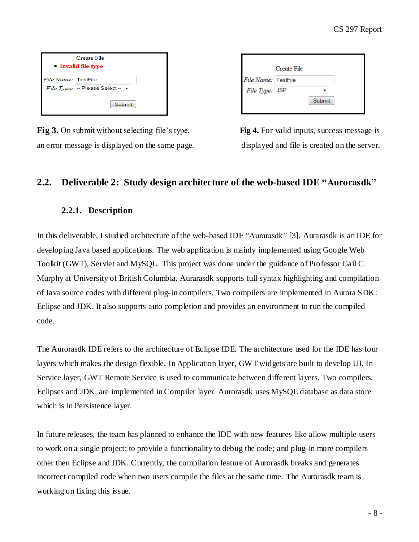| Create File<br>• Invalid file type |                                               |  |
|------------------------------------|-----------------------------------------------|--|
| File Name: TestFile                |                                               |  |
|                                    | File Type: $ -$ Please Select - $\rightarrow$ |  |
|                                    | Submit                                        |  |

**Fig 3**. On submit without selecting file's type, **Fig 4.** For valid inputs, success message is an error message is displayed on the same page. displayed and file is created on the server.

|                     | Create File |        |  |
|---------------------|-------------|--------|--|
| File Name: TestFile |             |        |  |
| File Type: JSP      |             |        |  |
|                     |             | Submit |  |
|                     |             |        |  |

## <span id="page-7-0"></span>**2.2. Deliverable 2: Study design architecture of the web-based IDE "Aurorasdk"**

### **2.2.1. Description**

<span id="page-7-1"></span>In this deliverable, I studied architecture of the web-based IDE "Aurarasdk" [3]. Aurarasdk is an IDE for developing Java based applications. The web application is mainly implemented using Google Web Toolkit (GWT), Servlet and MySQL. This project was done under the guidance of Professor Gail C. Murphy at University of British Columbia. Aurarasdk supports full syntax highlighting and compilation of Java source codes with different plug-in compilers. Two compilers are implemented in Aurora SDK: Eclipse and JDK. It also supports auto completion and provides an environment to run the compiled code.

The Aurorasdk IDE refers to the architecture of Eclipse IDE. The architecture used for the IDE has four layers which makes the design flexible. In Application layer, GWT widgets are built to develop UI. In Service layer, GWT Remote Service is used to communicate between different layers. Two compilers, Eclipses and JDK, are implemented in Compiler layer. Aurorasdk uses MySQL database as data store which is in Persistence layer.

In future releases, the team has planned to enhance the IDE with new features like allow multiple users to work on a single project; to provide a functionality to debug the code; and plug-in more compilers other then Eclipse and JDK. Currently, the compilation feature of Aurorasdk breaks and generates incorrect compiled code when two users compile the files at the same time. The Aurorasdk team is working on fixing this issue.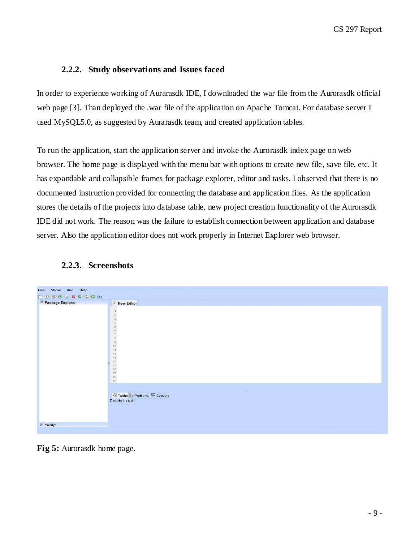#### **2.2.2. Study observations and Issues faced**

<span id="page-8-0"></span>In order to experience working of Aurarasdk IDE, I downloaded the war file from the Aurorasdk official web page [3]. Than deployed the .war file of the application on Apache Tomcat. For database server I used MySQL5.0, as suggested by Aurarasdk team, and created application tables.

To run the application, start the application server and invoke the Aurorasdk index page on web browser. The home page is displayed with the menu bar with options to create new file, save file, etc. It has expandable and collapsible frames for package explorer, editor and tasks. I observed that there is no documented instruction provided for connecting the database and application files. As the application stores the details of the projects into database table, new project creation functionality of the Aurorasdk IDE did not work. The reason was the failure to establish connection between application and database server. Also the application editor does not work properly in Internet Explorer web browser.

<span id="page-8-1"></span>

#### **2.2.3. Screenshots**

**Fig 5:** Aurorasdk home page.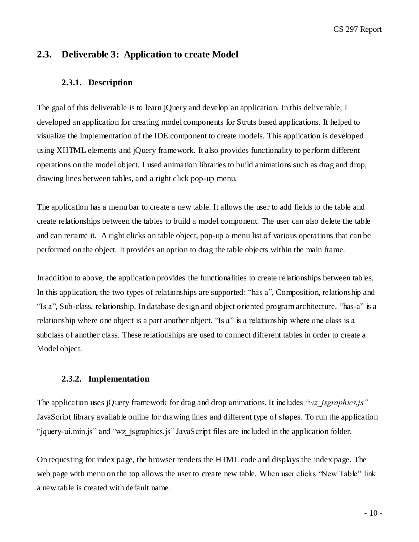### <span id="page-9-0"></span>**2.3. Deliverable 3: Application to create Model**

#### <span id="page-9-1"></span>**2.3.1. Description**

The goal of this deliverable is to learn jQuery and develop an application. In this deliverable, I developed an application for creating model components for Struts based applications. It helped to visualize the implementation of the IDE component to create models. This application is developed using XHTML elements and jQuery framework. It also provides functionality to perform different operations on the model object. I used animation libraries to build animations such as drag and drop, drawing lines between tables, and a right click pop-up menu.

The application has a menu bar to create a new table. It allows the user to add fields to the table and create relationships between the tables to build a model component. The user can also delete the table and can rename it. A right clicks on table object, pop-up a menu list of various operations that can be performed on the object. It provides an option to drag the table objects within the main frame.

In addition to above, the application provides the functionalities to create relationships between tables. In this application, the two types of relationships are supported: ["has a"](http://en.wikipedia.org/wiki/Has-a), Composition, relationship and "Is a", Sub-class, relationship. In [database design](http://en.wikipedia.org/wiki/Database_design) and [object oriented](http://en.wikipedia.org/wiki/Object_oriented) [program architecture,](http://en.wikipedia.org/wiki/Program_architecture) "has-a" is a relationship where one object is [a part a](http://en.wikipedia.org/wiki/Object_composition)nother object. "Is a" is a relationship where one class is a subclass of another class. These relationships are used to connect different tables in order to create a Model object.

#### **2.3.2. Implementation**

<span id="page-9-2"></span>The application uses jQuery framework for drag and drop animations. It includes "*wz\_jsgraphics.js"* JavaScript library available online for drawing lines and different type of shapes. To run the application "jquery-ui.min.js" and "wz\_jsgraphics.js" JavaScript files are included in the application folder.

On requesting for index page, the browser renders the HTML code and displays the index page. The web page with menu on the top allows the user to create new table. When user clicks "New Table" link a new table is created with default name.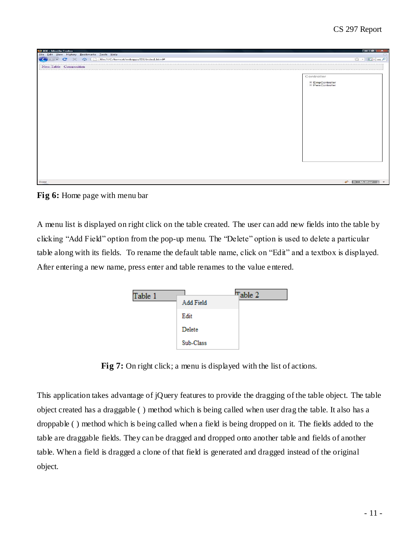| <sup>9</sup> IDE - Mozilla Firefox                                                                     | $\begin{array}{ c c c c c }\n\hline\n\textbf{L} & \textbf{L} & \textbf{L} & \textbf{L} & \textbf{L} \\ \hline\n\textbf{L} & \textbf{L} & \textbf{L} & \textbf{L} & \textbf{L} & \textbf{L} & \textbf{L} \\ \hline\n\textbf{L} & \textbf{L} & \textbf{L} & \textbf{L} & \textbf{L} & \textbf{L} & \textbf{L} & \textbf{L} \\ \hline\n\textbf{L} & \textbf{L} & \textbf{L} & \textbf{L} & \textbf{L} & \textbf{L} & \textbf{$ |
|--------------------------------------------------------------------------------------------------------|-----------------------------------------------------------------------------------------------------------------------------------------------------------------------------------------------------------------------------------------------------------------------------------------------------------------------------------------------------------------------------------------------------------------------------|
| File Edit View History Bookmarks Tools Help                                                            |                                                                                                                                                                                                                                                                                                                                                                                                                             |
| far (ile:///C:/tomcat/webapps/IDE/index1.html#<br>$\overline{\phantom{a}}$<br>$\mathbf{C}$<br>$\infty$ | ☆ - G-wz P                                                                                                                                                                                                                                                                                                                                                                                                                  |
| New Table Composition                                                                                  |                                                                                                                                                                                                                                                                                                                                                                                                                             |
|                                                                                                        |                                                                                                                                                                                                                                                                                                                                                                                                                             |
|                                                                                                        | Controller                                                                                                                                                                                                                                                                                                                                                                                                                  |
|                                                                                                        | EmpController<br>El PersController                                                                                                                                                                                                                                                                                                                                                                                          |
|                                                                                                        |                                                                                                                                                                                                                                                                                                                                                                                                                             |
|                                                                                                        |                                                                                                                                                                                                                                                                                                                                                                                                                             |
|                                                                                                        |                                                                                                                                                                                                                                                                                                                                                                                                                             |
|                                                                                                        |                                                                                                                                                                                                                                                                                                                                                                                                                             |
|                                                                                                        |                                                                                                                                                                                                                                                                                                                                                                                                                             |
|                                                                                                        |                                                                                                                                                                                                                                                                                                                                                                                                                             |
|                                                                                                        |                                                                                                                                                                                                                                                                                                                                                                                                                             |
|                                                                                                        |                                                                                                                                                                                                                                                                                                                                                                                                                             |
|                                                                                                        |                                                                                                                                                                                                                                                                                                                                                                                                                             |
|                                                                                                        |                                                                                                                                                                                                                                                                                                                                                                                                                             |
|                                                                                                        |                                                                                                                                                                                                                                                                                                                                                                                                                             |
|                                                                                                        |                                                                                                                                                                                                                                                                                                                                                                                                                             |
|                                                                                                        |                                                                                                                                                                                                                                                                                                                                                                                                                             |
|                                                                                                        |                                                                                                                                                                                                                                                                                                                                                                                                                             |
|                                                                                                        |                                                                                                                                                                                                                                                                                                                                                                                                                             |
|                                                                                                        |                                                                                                                                                                                                                                                                                                                                                                                                                             |
|                                                                                                        |                                                                                                                                                                                                                                                                                                                                                                                                                             |
|                                                                                                        |                                                                                                                                                                                                                                                                                                                                                                                                                             |
| Done                                                                                                   | <b>D</b> McAfee<br>$\overline{\phantom{a}}$                                                                                                                                                                                                                                                                                                                                                                                 |



A menu list is displayed on right click on the table created. The user can add new fields into the table by clicking "Add Field" option from the pop-up menu. The "Delete" option is used to delete a particular table along with its fields. To rename the default table name, click on "Edit" and a textbox is displayed. After entering a new name, press enter and table renames to the value entered.

| Table 1 | Add Field | Table 2 |  |
|---------|-----------|---------|--|
|         | Edit      |         |  |
|         | Delete    |         |  |
|         | Sub-Class |         |  |

**Fig 7:** On right click; a menu is displayed with the list of actions.

This application takes advantage of jQuery features to provide the dragging of the table object. The table object created has a draggable ( ) method which is being called when user drag the table. It also has a droppable ( ) method which is being called when a field is being dropped on it. The fields added to the table are draggable fields. They can be dragged and dropped onto another table and fields of another table. When a field is dragged a clone of that field is generated and dragged instead of the original object.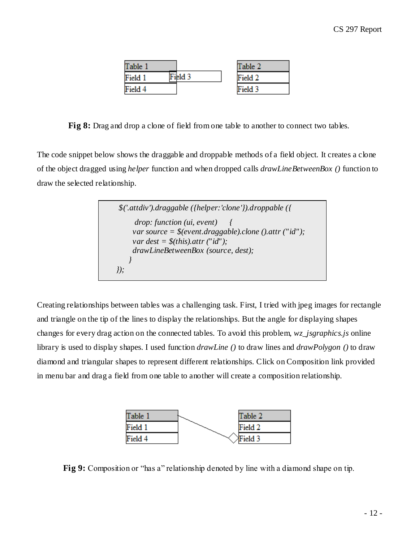| Table 1 |         | Table 2 |
|---------|---------|---------|
| Field 1 | Field 3 | Field 2 |
| Field 4 |         | Field 3 |

**Fig 8:** Drag and drop a clone of field from one table to another to connect two tables.

The code snippet below shows the draggable and droppable methods of a field object. It creates a clone of the object dragged using *helper* function and when dropped calls *drawLineBetweenBox ()* function to draw the selected relationship.

 *\$('.attdiv').draggable ({helper:'clone'}).droppable ({ drop: function (ui, event) { var source = \$(event.draggable).clone ().attr ("id"); var dest = \$(this).attr ("id"); drawLineBetweenBox (source, dest); } });*

Creating relationships between tables was a challenging task. First, I tried with jpeg images for rectangle and triangle on the tip of the lines to display the relationships. But the angle for displaying shapes changes for every drag action on the connected tables. To avoid this problem, *wz\_jsgraphics.js* online library is used to display shapes. I used function *drawLine ()* to draw lines and *drawPolygon ()* to draw diamond and triangular shapes to represent different relationships. Click on Composition link provided in menu bar and drag a field from one table to another will create a composition relationship.



**Fig 9:** Composition or "has a" relationship denoted by line with a diamond shape on tip.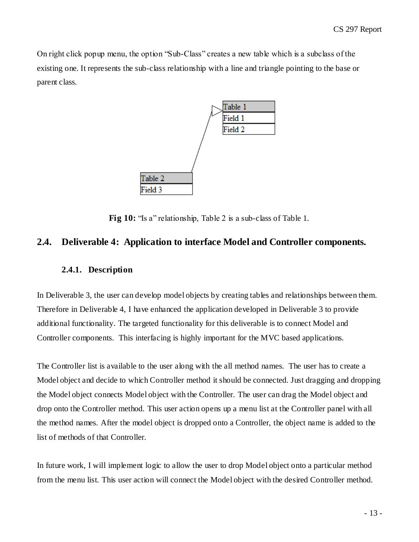On right click popup menu, the option "Sub-Class" creates a new table which is a subclass of the existing one. It represents the sub-class relationship with a line and triangle pointing to the base or parent class.



**Fig 10:** "Is a" relationship, Table 2 is a sub-class of Table 1.

### <span id="page-12-0"></span>**2.4. Deliverable 4: Application to interface Model and Controller components.**

#### <span id="page-12-1"></span>**2.4.1. Description**

In Deliverable 3, the user can develop model objects by creating tables and relationships between them. Therefore in Deliverable 4, I have enhanced the application developed in Deliverable 3 to provide additional functionality. The targeted functionality for this deliverable is to connect Model and Controller components. This interfacing is highly important for the MVC based applications.

The Controller list is available to the user along with the all method names. The user has to create a Model object and decide to which Controller method it should be connected. Just dragging and dropping the Model object connects Model object with the Controller. The user can drag the Model object and drop onto the Controller method. This user action opens up a menu list at the Controller panel with all the method names. After the model object is dropped onto a Controller, the object name is added to the list of methods of that Controller.

In future work, I will implement logic to allow the user to drop Model object onto a particular method from the menu list. This user action will connect the Model object with the desired Controller method.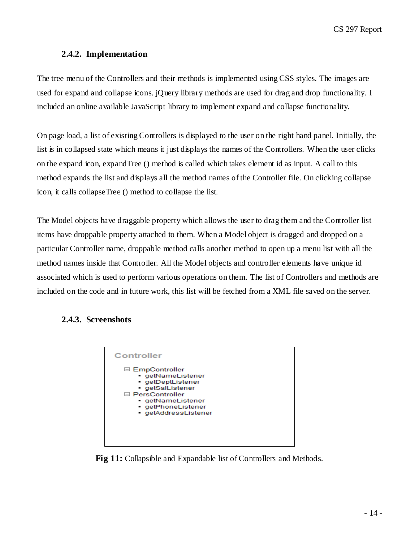### **2.4.2. Implementation**

<span id="page-13-0"></span>The tree menu of the Controllers and their methods is implemented using CSS styles. The images are used for expand and collapse icons. jQuery library methods are used for drag and drop functionality. I included an online available JavaScript library to implement expand and collapse functionality.

On page load, a list of existing Controllers is displayed to the user on the right hand panel. Initially, the list is in collapsed state which means it just displays the names of the Controllers. When the user clicks on the expand icon, expandTree () method is called which takes element id as input. A call to this method expands the list and displays all the method names of the Controller file. On clicking collapse icon, it calls collapseTree () method to collapse the list.

The Model objects have draggable property which allows the user to drag them and the Controller list items have droppable property attached to them. When a Model object is dragged and dropped on a particular Controller name, droppable method calls another method to open up a menu list with all the method names inside that Controller. All the Model objects and controller elements have unique id associated which is used to perform various operations on them. The list of Controllers and methods are included on the code and in future work, this list will be fetched from a XML file saved on the server.

### <span id="page-13-1"></span>**2.4.3. Screenshots**



**Fig 11:** Collapsible and Expandable list of Controllers and Methods.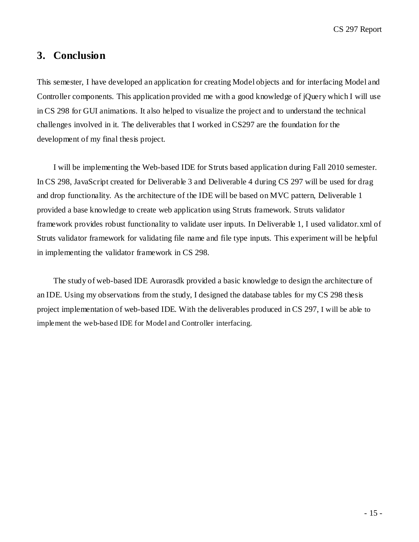CS 297 Report

## <span id="page-14-0"></span>**3. Conclusion**

This semester, I have developed an application for creating Model objects and for interfacing Model and Controller components. This application provided me with a good knowledge of jQuery which I will use in CS 298 for GUI animations. It also helped to visualize the project and to understand the technical challenges involved in it. The deliverables that I worked in CS297 are the foundation for the development of my final thesis project.

I will be implementing the Web-based IDE for Struts based application during Fall 2010 semester. In CS 298, JavaScript created for Deliverable 3 and Deliverable 4 during CS 297 will be used for drag and drop functionality. As the architecture of the IDE will be based on MVC pattern, Deliverable 1 provided a base knowledge to create web application using Struts framework. Struts validator framework provides robust functionality to validate user inputs. In Deliverable 1, I used validator.xml of Struts validator framework for validating file name and file type inputs. This experiment will be helpful in implementing the validator framework in CS 298.

The study of web-based IDE Aurorasdk provided a basic knowledge to design the architecture of an IDE. Using my observations from the study, I designed the database tables for my CS 298 thesis project implementation of web-based IDE. With the deliverables produced in CS 297, I will be able to implement the web-based IDE for Model and Controller interfacing.